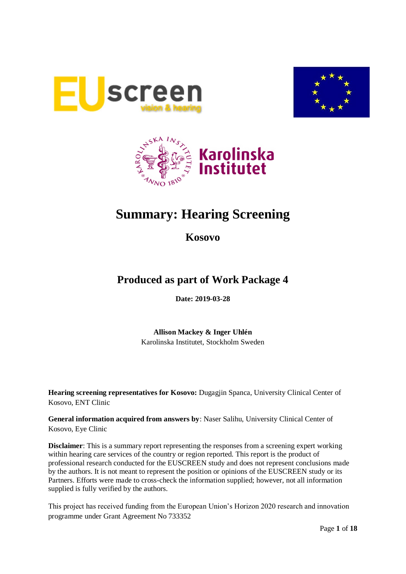





# **Summary: Hearing Screening**

**Kosovo**

# **Produced as part of Work Package 4**

**Date: 2019-03-28**

**Allison Mackey & Inger Uhlén** Karolinska Institutet, Stockholm Sweden

**Hearing screening representatives for Kosovo:** Dugagjin Spanca, University Clinical Center of Kosovo, ENT Clinic

**General information acquired from answers by**: Naser Salihu, University Clinical Center of Kosovo, Eye Clinic

**Disclaimer**: This is a summary report representing the responses from a screening expert working within hearing care services of the country or region reported. This report is the product of professional research conducted for the EUSCREEN study and does not represent conclusions made by the authors. It is not meant to represent the position or opinions of the EUSCREEN study or its Partners. Efforts were made to cross-check the information supplied; however, not all information supplied is fully verified by the authors.

This project has received funding from the European Union's Horizon 2020 research and innovation programme under Grant Agreement No 733352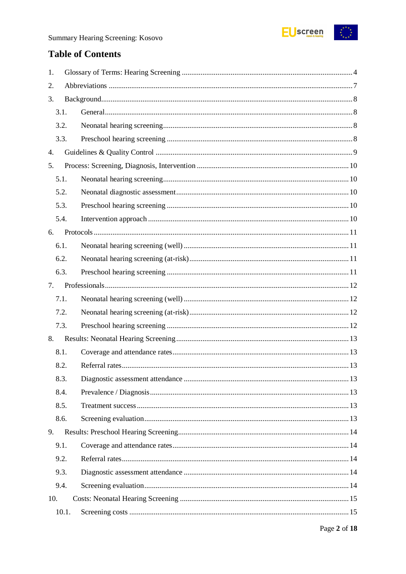

# **Table of Contents**

| 1.               |       |  |  |  |  |
|------------------|-------|--|--|--|--|
| 2.               |       |  |  |  |  |
| 3.               |       |  |  |  |  |
| 3.1.             |       |  |  |  |  |
| 3.2.             |       |  |  |  |  |
| 3.3.             |       |  |  |  |  |
| $\overline{4}$ . |       |  |  |  |  |
| 5.               |       |  |  |  |  |
| 5.1.             |       |  |  |  |  |
| 5.2.             |       |  |  |  |  |
| 5.3.             |       |  |  |  |  |
| 5.4.             |       |  |  |  |  |
| 6.               |       |  |  |  |  |
| 6.1.             |       |  |  |  |  |
| 6.2.             |       |  |  |  |  |
| 6.3.             |       |  |  |  |  |
| 7.               |       |  |  |  |  |
| 7.1.             |       |  |  |  |  |
| 7.2.             |       |  |  |  |  |
| 7.3.             |       |  |  |  |  |
| 8.               |       |  |  |  |  |
| 8.1.             |       |  |  |  |  |
| 8.2.             |       |  |  |  |  |
| 8.3.             |       |  |  |  |  |
| 8.4.             |       |  |  |  |  |
| 8.5.             |       |  |  |  |  |
| 8.6.             |       |  |  |  |  |
| 9.               |       |  |  |  |  |
| 9.1.             |       |  |  |  |  |
| 9.2.             |       |  |  |  |  |
| 9.3.             |       |  |  |  |  |
| 9.4.             |       |  |  |  |  |
| 10.              |       |  |  |  |  |
|                  | 10.1. |  |  |  |  |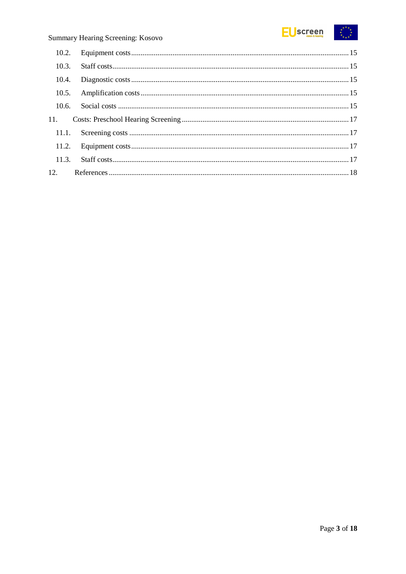

### Summary Hearing Screening: Kosovo

| 10.3. |  |
|-------|--|
| 10.4. |  |
|       |  |
|       |  |
|       |  |
| 11.1. |  |
|       |  |
|       |  |
|       |  |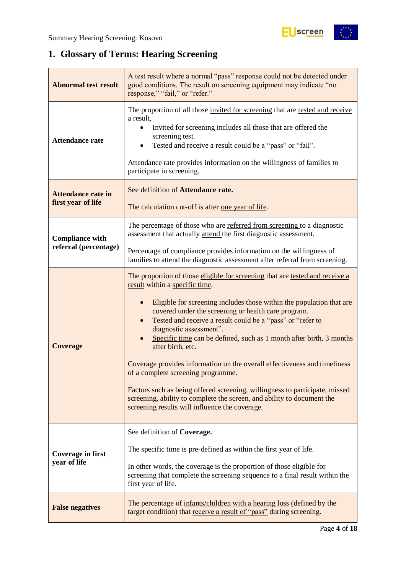# <span id="page-3-0"></span>**1. Glossary of Terms: Hearing Screening**

| <b>Abnormal test result</b>                     | A test result where a normal "pass" response could not be detected under<br>good conditions. The result on screening equipment may indicate "no<br>response," "fail," or "refer."                                                                                                                                                                                                                                                                                                                                                                                                                                                                                                                                                                                |
|-------------------------------------------------|------------------------------------------------------------------------------------------------------------------------------------------------------------------------------------------------------------------------------------------------------------------------------------------------------------------------------------------------------------------------------------------------------------------------------------------------------------------------------------------------------------------------------------------------------------------------------------------------------------------------------------------------------------------------------------------------------------------------------------------------------------------|
| <b>Attendance rate</b>                          | The proportion of all those invited for screening that are tested and receive<br>a result,<br>Invited for screening includes all those that are offered the<br>screening test.<br>Tested and receive a result could be a "pass" or "fail".<br>Attendance rate provides information on the willingness of families to<br>participate in screening.                                                                                                                                                                                                                                                                                                                                                                                                                |
| <b>Attendance rate in</b><br>first year of life | See definition of Attendance rate.<br>The calculation cut-off is after one year of life.                                                                                                                                                                                                                                                                                                                                                                                                                                                                                                                                                                                                                                                                         |
| <b>Compliance with</b><br>referral (percentage) | The percentage of those who are referred from screening to a diagnostic<br>assessment that actually attend the first diagnostic assessment.                                                                                                                                                                                                                                                                                                                                                                                                                                                                                                                                                                                                                      |
|                                                 | Percentage of compliance provides information on the willingness of<br>families to attend the diagnostic assessment after referral from screening.                                                                                                                                                                                                                                                                                                                                                                                                                                                                                                                                                                                                               |
| <b>Coverage</b>                                 | The proportion of those eligible for screening that are tested and receive a<br>result within a specific time.<br>Eligible for screening includes those within the population that are<br>covered under the screening or health care program.<br>Tested and receive a result could be a "pass" or "refer to<br>diagnostic assessment".<br>Specific time can be defined, such as 1 month after birth, 3 months<br>after birth, etc.<br>Coverage provides information on the overall effectiveness and timeliness<br>of a complete screening programme.<br>Factors such as being offered screening, willingness to participate, missed<br>screening, ability to complete the screen, and ability to document the<br>screening results will influence the coverage. |
| Coverage in first<br>year of life               | See definition of Coverage.<br>The specific time is pre-defined as within the first year of life.<br>In other words, the coverage is the proportion of those eligible for<br>screening that complete the screening sequence to a final result within the<br>first year of life.                                                                                                                                                                                                                                                                                                                                                                                                                                                                                  |
| <b>False negatives</b>                          | The percentage of infants/children with a hearing loss (defined by the<br>target condition) that receive a result of "pass" during screening.                                                                                                                                                                                                                                                                                                                                                                                                                                                                                                                                                                                                                    |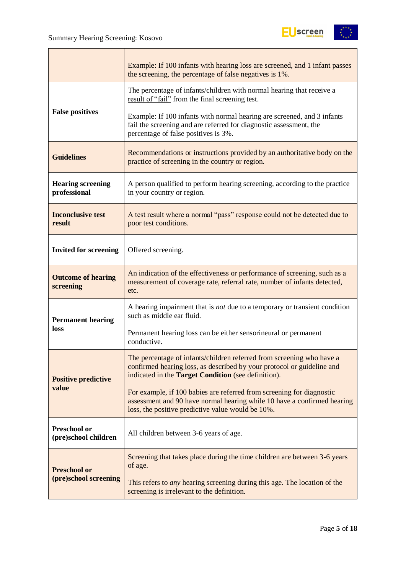

|                                          | Example: If 100 infants with hearing loss are screened, and 1 infant passes<br>the screening, the percentage of false negatives is 1%.                                                                 |
|------------------------------------------|--------------------------------------------------------------------------------------------------------------------------------------------------------------------------------------------------------|
|                                          | The percentage of infants/children with normal hearing that receive a<br>result of "fail" from the final screening test.                                                                               |
| <b>False positives</b>                   | Example: If 100 infants with normal hearing are screened, and 3 infants<br>fail the screening and are referred for diagnostic assessment, the<br>percentage of false positives is 3%.                  |
| <b>Guidelines</b>                        | Recommendations or instructions provided by an authoritative body on the<br>practice of screening in the country or region.                                                                            |
| <b>Hearing screening</b><br>professional | A person qualified to perform hearing screening, according to the practice<br>in your country or region.                                                                                               |
| <b>Inconclusive test</b><br>result       | A test result where a normal "pass" response could not be detected due to<br>poor test conditions.                                                                                                     |
| <b>Invited for screening</b>             | Offered screening.                                                                                                                                                                                     |
| <b>Outcome of hearing</b><br>screening   | An indication of the effectiveness or performance of screening, such as a<br>measurement of coverage rate, referral rate, number of infants detected,<br>etc.                                          |
| <b>Permanent hearing</b>                 | A hearing impairment that is <i>not</i> due to a temporary or transient condition<br>such as middle ear fluid.                                                                                         |
| loss                                     | Permanent hearing loss can be either sensorineural or permanent<br>conductive.                                                                                                                         |
| <b>Positive predictive</b>               | The percentage of infants/children referred from screening who have a<br>confirmed hearing loss, as described by your protocol or guideline and<br>indicated in the Target Condition (see definition). |
| value                                    | For example, if 100 babies are referred from screening for diagnostic<br>assessment and 90 have normal hearing while 10 have a confirmed hearing<br>loss, the positive predictive value would be 10%.  |
| Preschool or<br>(pre)school children     | All children between 3-6 years of age.                                                                                                                                                                 |
| <b>Preschool or</b>                      | Screening that takes place during the time children are between 3-6 years<br>of age.                                                                                                                   |
| (pre)school screening                    | This refers to <i>any</i> hearing screening during this age. The location of the<br>screening is irrelevant to the definition.                                                                         |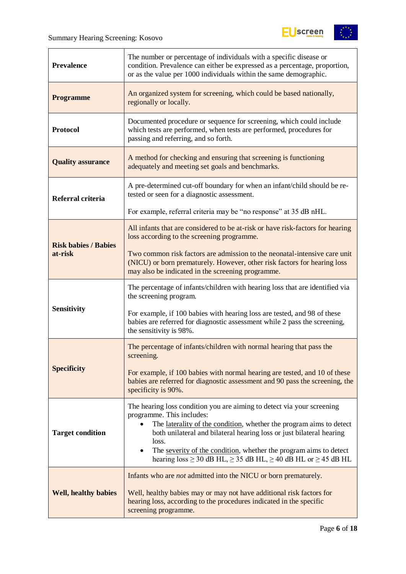

| <b>Prevalence</b>           | The number or percentage of individuals with a specific disease or<br>condition. Prevalence can either be expressed as a percentage, proportion,<br>or as the value per 1000 individuals within the same demographic.                                                                                                                                                                                                                       |
|-----------------------------|---------------------------------------------------------------------------------------------------------------------------------------------------------------------------------------------------------------------------------------------------------------------------------------------------------------------------------------------------------------------------------------------------------------------------------------------|
| <b>Programme</b>            | An organized system for screening, which could be based nationally,<br>regionally or locally.                                                                                                                                                                                                                                                                                                                                               |
| <b>Protocol</b>             | Documented procedure or sequence for screening, which could include<br>which tests are performed, when tests are performed, procedures for<br>passing and referring, and so forth.                                                                                                                                                                                                                                                          |
| <b>Quality assurance</b>    | A method for checking and ensuring that screening is functioning<br>adequately and meeting set goals and benchmarks.                                                                                                                                                                                                                                                                                                                        |
| Referral criteria           | A pre-determined cut-off boundary for when an infant/child should be re-<br>tested or seen for a diagnostic assessment.                                                                                                                                                                                                                                                                                                                     |
|                             | For example, referral criteria may be "no response" at 35 dB nHL.                                                                                                                                                                                                                                                                                                                                                                           |
| <b>Risk babies / Babies</b> | All infants that are considered to be at-risk or have risk-factors for hearing<br>loss according to the screening programme.                                                                                                                                                                                                                                                                                                                |
| at-risk                     | Two common risk factors are admission to the neonatal-intensive care unit<br>(NICU) or born prematurely. However, other risk factors for hearing loss<br>may also be indicated in the screening programme.                                                                                                                                                                                                                                  |
|                             | The percentage of infants/children with hearing loss that are identified via<br>the screening program.                                                                                                                                                                                                                                                                                                                                      |
| <b>Sensitivity</b>          | For example, if 100 babies with hearing loss are tested, and 98 of these<br>babies are referred for diagnostic assessment while 2 pass the screening,<br>the sensitivity is 98%.                                                                                                                                                                                                                                                            |
|                             | The percentage of infants/children with normal hearing that pass the<br>screening.                                                                                                                                                                                                                                                                                                                                                          |
| <b>Specificity</b>          | For example, if 100 babies with normal hearing are tested, and 10 of these<br>babies are referred for diagnostic assessment and 90 pass the screening, the<br>specificity is 90%.                                                                                                                                                                                                                                                           |
| <b>Target condition</b>     | The hearing loss condition you are aiming to detect via your screening<br>programme. This includes:<br>The laterality of the condition, whether the program aims to detect<br>$\bullet$<br>both unilateral and bilateral hearing loss or just bilateral hearing<br>loss.<br>The severity of the condition, whether the program aims to detect<br>$\bullet$<br>hearing $loss \ge 30$ dB HL, $\ge 35$ dB HL, $\ge 40$ dB HL or $\ge 45$ dB HL |
| <b>Well, healthy babies</b> | Infants who are <i>not</i> admitted into the NICU or born prematurely.<br>Well, healthy babies may or may not have additional risk factors for<br>hearing loss, according to the procedures indicated in the specific<br>screening programme.                                                                                                                                                                                               |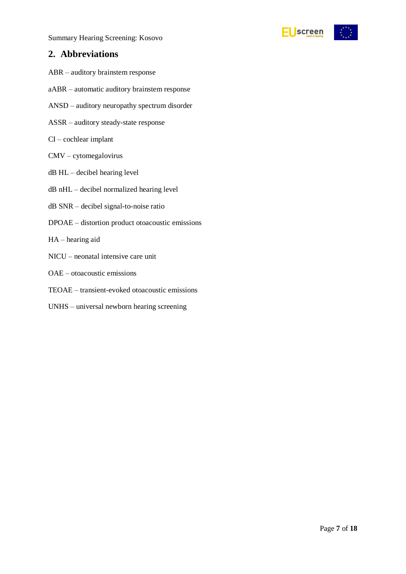Summary Hearing Screening: Kosovo

### <span id="page-6-0"></span>**2. Abbreviations**

- ABR auditory brainstem response
- aABR automatic auditory brainstem response
- ANSD auditory neuropathy spectrum disorder
- ASSR auditory steady-state response
- CI cochlear implant
- CMV cytomegalovirus
- dB HL decibel hearing level
- dB nHL decibel normalized hearing level
- dB SNR decibel signal-to-noise ratio
- DPOAE distortion product otoacoustic emissions
- HA hearing aid
- NICU neonatal intensive care unit
- OAE otoacoustic emissions
- TEOAE transient-evoked otoacoustic emissions
- UNHS universal newborn hearing screening

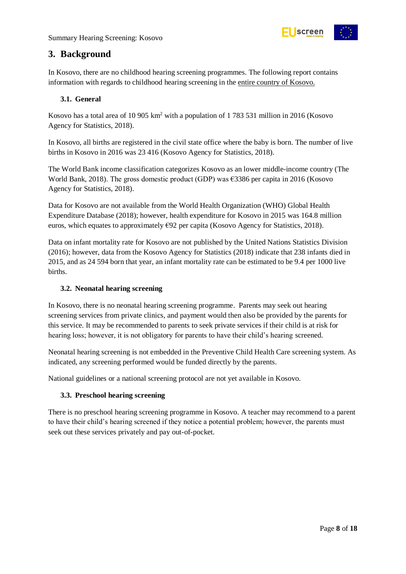

### <span id="page-7-0"></span>**3. Background**

In Kosovo, there are no childhood hearing screening programmes. The following report contains information with regards to childhood hearing screening in the entire country of Kosovo.

#### <span id="page-7-1"></span>**3.1. General**

Kosovo has a total area of 10 905 km<sup>2</sup> with a population of 1 783 531 million in 2016 (Kosovo Agency for Statistics, 2018).

In Kosovo, all births are registered in the civil state office where the baby is born. The number of live births in Kosovo in 2016 was 23 416 (Kosovo Agency for Statistics, 2018).

The World Bank income classification categorizes Kosovo as an lower middle-income country (The World Bank, 2018). The gross domestic product (GDP) was €3386 per capita in 2016 (Kosovo Agency for Statistics, 2018).

Data for Kosovo are not available from the World Health Organization (WHO) Global Health Expenditure Database (2018); however, health expenditure for Kosovo in 2015 was 164.8 million euros, which equates to approximately €92 per capita (Kosovo Agency for Statistics, 2018).

Data on infant mortality rate for Kosovo are not published by the United Nations Statistics Division (2016); however, data from the Kosovo Agency for Statistics (2018) indicate that 238 infants died in 2015, and as 24 594 born that year, an infant mortality rate can be estimated to be 9.4 per 1000 live births.

#### <span id="page-7-2"></span>**3.2. Neonatal hearing screening**

In Kosovo, there is no neonatal hearing screening programme. Parents may seek out hearing screening services from private clinics, and payment would then also be provided by the parents for this service. It may be recommended to parents to seek private services if their child is at risk for hearing loss; however, it is not obligatory for parents to have their child's hearing screened.

Neonatal hearing screening is not embedded in the Preventive Child Health Care screening system. As indicated, any screening performed would be funded directly by the parents.

National guidelines or a national screening protocol are not yet available in Kosovo.

#### <span id="page-7-3"></span>**3.3. Preschool hearing screening**

There is no preschool hearing screening programme in Kosovo. A teacher may recommend to a parent to have their child's hearing screened if they notice a potential problem; however, the parents must seek out these services privately and pay out-of-pocket.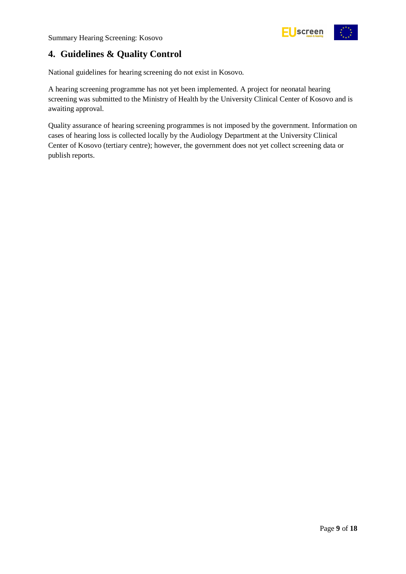

### <span id="page-8-0"></span>**4. Guidelines & Quality Control**

National guidelines for hearing screening do not exist in Kosovo.

A hearing screening programme has not yet been implemented. A project for neonatal hearing screening was submitted to the Ministry of Health by the University Clinical Center of Kosovo and is awaiting approval.

Quality assurance of hearing screening programmes is not imposed by the government. Information on cases of hearing loss is collected locally by the Audiology Department at the University Clinical Center of Kosovo (tertiary centre); however, the government does not yet collect screening data or publish reports.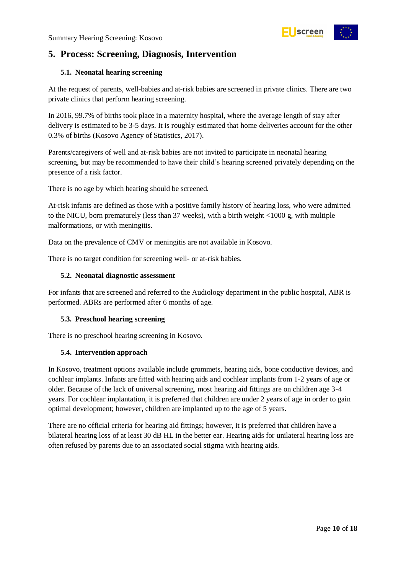

### <span id="page-9-0"></span>**5. Process: Screening, Diagnosis, Intervention**

#### <span id="page-9-1"></span>**5.1. Neonatal hearing screening**

At the request of parents, well-babies and at-risk babies are screened in private clinics. There are two private clinics that perform hearing screening.

In 2016, 99.7% of births took place in a maternity hospital, where the average length of stay after delivery is estimated to be 3-5 days. It is roughly estimated that home deliveries account for the other 0.3% of births (Kosovo Agency of Statistics, 2017).

Parents/caregivers of well and at-risk babies are not invited to participate in neonatal hearing screening, but may be recommended to have their child's hearing screened privately depending on the presence of a risk factor.

There is no age by which hearing should be screened.

At-risk infants are defined as those with a positive family history of hearing loss, who were admitted to the NICU, born prematurely (less than 37 weeks), with a birth weight <1000 g, with multiple malformations, or with meningitis.

Data on the prevalence of CMV or meningitis are not available in Kosovo.

There is no target condition for screening well- or at-risk babies.

#### <span id="page-9-2"></span>**5.2. Neonatal diagnostic assessment**

For infants that are screened and referred to the Audiology department in the public hospital, ABR is performed. ABRs are performed after 6 months of age.

#### <span id="page-9-3"></span>**5.3. Preschool hearing screening**

There is no preschool hearing screening in Kosovo.

#### <span id="page-9-4"></span>**5.4. Intervention approach**

In Kosovo, treatment options available include grommets, hearing aids, bone conductive devices, and cochlear implants. Infants are fitted with hearing aids and cochlear implants from 1-2 years of age or older. Because of the lack of universal screening, most hearing aid fittings are on children age 3-4 years. For cochlear implantation, it is preferred that children are under 2 years of age in order to gain optimal development; however, children are implanted up to the age of 5 years.

There are no official criteria for hearing aid fittings; however, it is preferred that children have a bilateral hearing loss of at least 30 dB HL in the better ear. Hearing aids for unilateral hearing loss are often refused by parents due to an associated social stigma with hearing aids.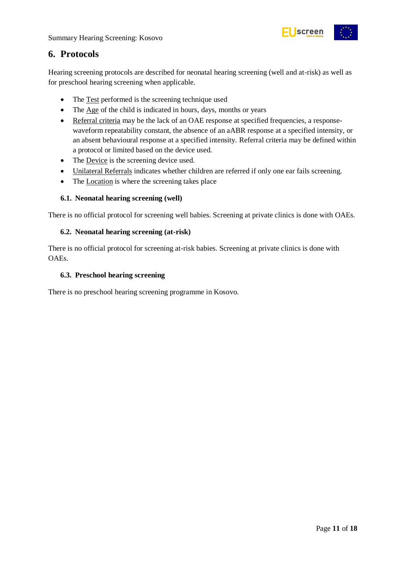

### <span id="page-10-0"></span>**6. Protocols**

Hearing screening protocols are described for neonatal hearing screening (well and at-risk) as well as for preschool hearing screening when applicable.

- The Test performed is the screening technique used
- The Age of the child is indicated in hours, days, months or years
- Referral criteria may be the lack of an OAE response at specified frequencies, a responsewaveform repeatability constant, the absence of an aABR response at a specified intensity, or an absent behavioural response at a specified intensity. Referral criteria may be defined within a protocol or limited based on the device used.
- The Device is the screening device used.
- Unilateral Referrals indicates whether children are referred if only one ear fails screening.
- The Location is where the screening takes place

#### <span id="page-10-1"></span>**6.1. Neonatal hearing screening (well)**

There is no official protocol for screening well babies. Screening at private clinics is done with OAEs.

#### <span id="page-10-2"></span>**6.2. Neonatal hearing screening (at-risk)**

There is no official protocol for screening at-risk babies. Screening at private clinics is done with OAEs.

#### <span id="page-10-3"></span>**6.3. Preschool hearing screening**

There is no preschool hearing screening programme in Kosovo.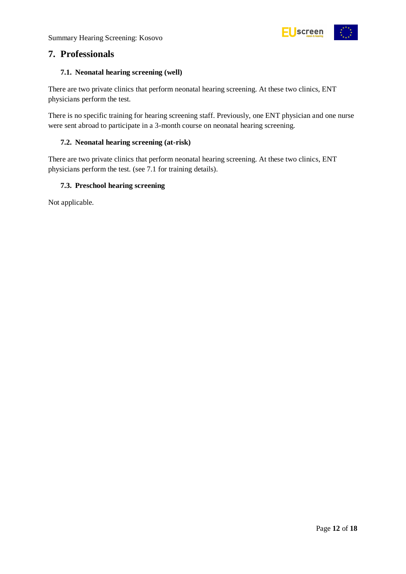

### <span id="page-11-0"></span>**7. Professionals**

#### <span id="page-11-1"></span>**7.1. Neonatal hearing screening (well)**

There are two private clinics that perform neonatal hearing screening. At these two clinics, ENT physicians perform the test.

There is no specific training for hearing screening staff. Previously, one ENT physician and one nurse were sent abroad to participate in a 3-month course on neonatal hearing screening.

#### <span id="page-11-2"></span>**7.2. Neonatal hearing screening (at-risk)**

There are two private clinics that perform neonatal hearing screening. At these two clinics, ENT physicians perform the test. (see 7.1 for training details).

#### <span id="page-11-3"></span>**7.3. Preschool hearing screening**

Not applicable.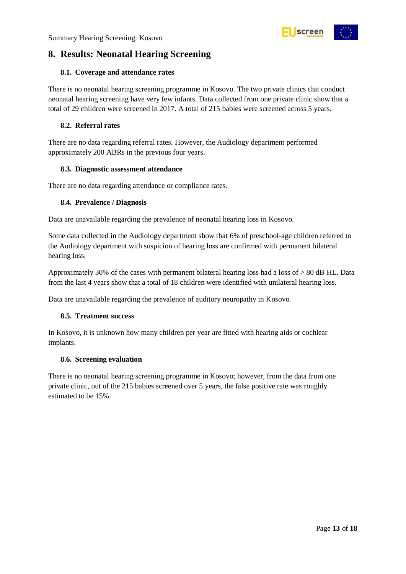

### <span id="page-12-0"></span>**8. Results: Neonatal Hearing Screening**

#### <span id="page-12-1"></span>**8.1. Coverage and attendance rates**

There is no neonatal hearing screening programme in Kosovo. The two private clinics that conduct neonatal hearing screening have very few infants. Data collected from one private clinic show that a total of 29 children were screened in 2017. A total of 215 babies were screened across 5 years.

#### <span id="page-12-2"></span>**8.2. Referral rates**

There are no data regarding referral rates. However, the Audiology department performed approximately 200 ABRs in the previous four years.

#### <span id="page-12-3"></span>**8.3. Diagnostic assessment attendance**

There are no data regarding attendance or compliance rates.

#### <span id="page-12-4"></span>**8.4. Prevalence / Diagnosis**

Data are unavailable regarding the prevalence of neonatal hearing loss in Kosovo.

Some data collected in the Audiology department show that 6% of preschool-age children referred to the Audiology department with suspicion of hearing loss are confirmed with permanent bilateral hearing loss.

Approximately 30% of the cases with permanent bilateral hearing loss had a loss of > 80 dB HL. Data from the last 4 years show that a total of 18 children were identified with unilateral hearing loss.

Data are unavailable regarding the prevalence of auditory neuropathy in Kosovo.

#### <span id="page-12-5"></span>**8.5. Treatment success**

In Kosovo, it is unknown how many children per year are fitted with hearing aids or cochlear implants.

#### <span id="page-12-6"></span>**8.6. Screening evaluation**

There is no neonatal hearing screening programme in Kosovo; however, from the data from one private clinic, out of the 215 babies screened over 5 years, the false positive rate was roughly estimated to be 15%.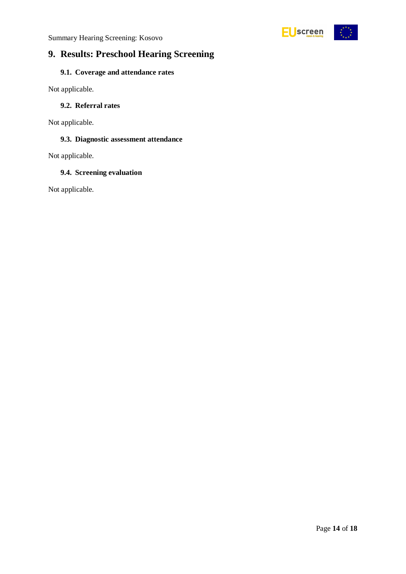

### <span id="page-13-0"></span>**9. Results: Preschool Hearing Screening**

### <span id="page-13-1"></span>**9.1. Coverage and attendance rates**

Not applicable.

#### <span id="page-13-2"></span>**9.2. Referral rates**

Not applicable.

#### <span id="page-13-3"></span>**9.3. Diagnostic assessment attendance**

Not applicable.

#### <span id="page-13-4"></span>**9.4. Screening evaluation**

Not applicable.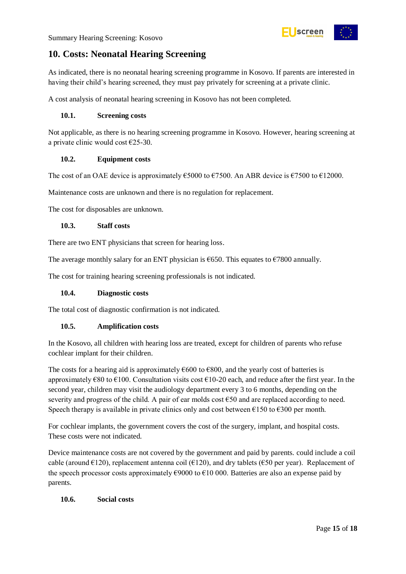

### <span id="page-14-0"></span>**10. Costs: Neonatal Hearing Screening**

As indicated, there is no neonatal hearing screening programme in Kosovo. If parents are interested in having their child's hearing screened, they must pay privately for screening at a private clinic.

A cost analysis of neonatal hearing screening in Kosovo has not been completed.

#### <span id="page-14-1"></span>**10.1. Screening costs**

Not applicable, as there is no hearing screening programme in Kosovo. However, hearing screening at a private clinic would cost  $E$ 25-30.

#### <span id="page-14-2"></span>**10.2. Equipment costs**

The cost of an OAE device is approximately  $\epsilon$ 5000 to  $\epsilon$ 7500. An ABR device is  $\epsilon$ 7500 to  $\epsilon$ 12000.

Maintenance costs are unknown and there is no regulation for replacement.

The cost for disposables are unknown.

#### <span id="page-14-3"></span>**10.3. Staff costs**

There are two ENT physicians that screen for hearing loss.

The average monthly salary for an ENT physician is  $\epsilon$ 650. This equates to  $\epsilon$ 7800 annually.

The cost for training hearing screening professionals is not indicated.

#### <span id="page-14-4"></span>**10.4. Diagnostic costs**

The total cost of diagnostic confirmation is not indicated.

#### <span id="page-14-5"></span>**10.5. Amplification costs**

In the Kosovo, all children with hearing loss are treated, except for children of parents who refuse cochlear implant for their children.

The costs for a hearing aid is approximately  $\epsilon$ 600 to  $\epsilon$ 800, and the yearly cost of batteries is approximately  $\epsilon$ 80 to  $\epsilon$ 100. Consultation visits cost  $\epsilon$ 10-20 each, and reduce after the first year. In the second year, children may visit the audiology department every 3 to 6 months, depending on the severity and progress of the child. A pair of ear molds cost  $\epsilon$ 50 and are replaced according to need. Speech therapy is available in private clinics only and cost between  $\epsilon$ 150 to  $\epsilon$ 300 per month.

For cochlear implants, the government covers the cost of the surgery, implant, and hospital costs. These costs were not indicated.

Device maintenance costs are not covered by the government and paid by parents. could include a coil cable (around  $\epsilon$ 120), replacement antenna coil ( $\epsilon$ 120), and dry tablets ( $\epsilon$ 50 per year). Replacement of the speech processor costs approximately  $\epsilon$ 9000 to  $\epsilon$ 10 000. Batteries are also an expense paid by parents.

#### <span id="page-14-6"></span>**10.6. Social costs**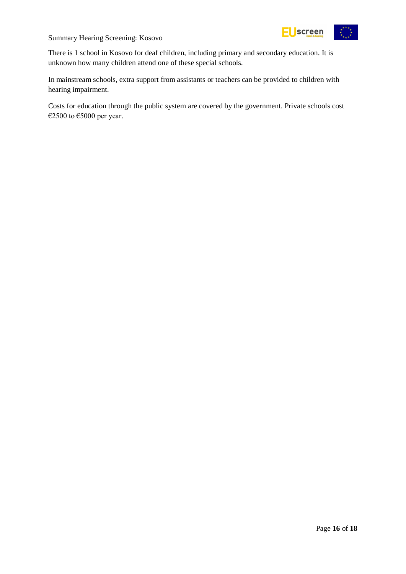

Summary Hearing Screening: Kosovo

There is 1 school in Kosovo for deaf children, including primary and secondary education. It is unknown how many children attend one of these special schools.

In mainstream schools, extra support from assistants or teachers can be provided to children with hearing impairment.

Costs for education through the public system are covered by the government. Private schools cost €2500 to €5000 per year.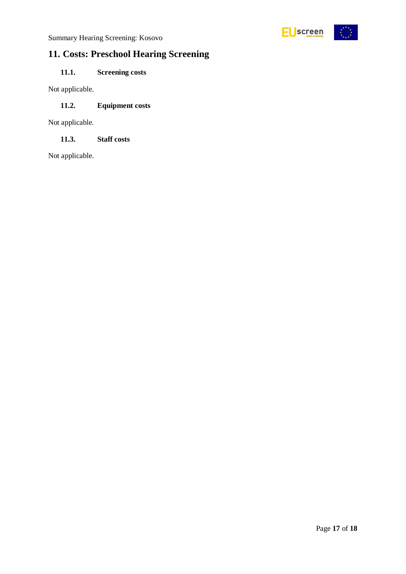

## <span id="page-16-0"></span>**11. Costs: Preschool Hearing Screening**

### <span id="page-16-1"></span>**11.1. Screening costs**

Not applicable.

#### <span id="page-16-2"></span>**11.2. Equipment costs**

Not applicable.

<span id="page-16-3"></span>**11.3. Staff costs**

Not applicable.